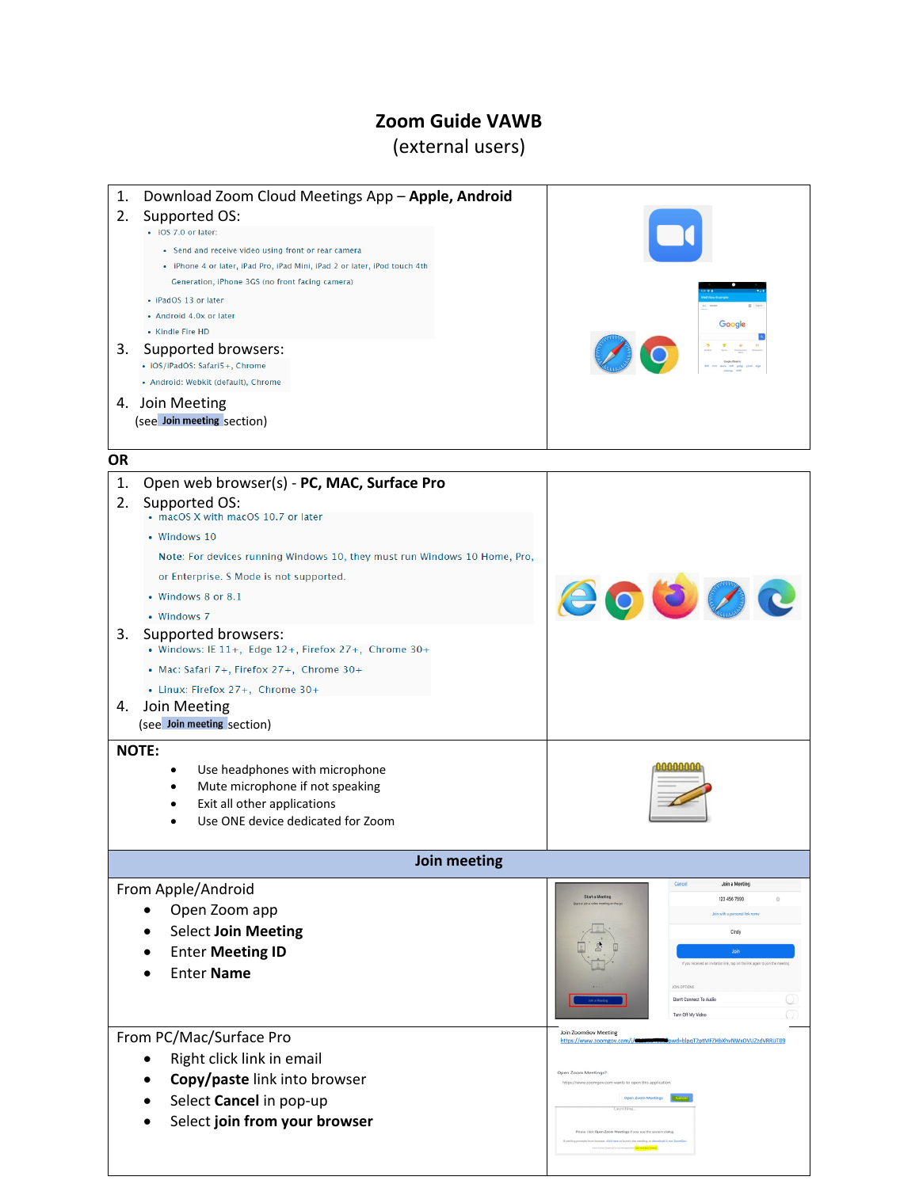## **Zoom Guide VAWB**

## (external users)

1. Download Zoom Cloud Meetings App – **Apple, Android**

| 2.           | Supported OS:<br>· iOS 7.0 or later:                                                                                                                                                |                                                                                            |
|--------------|-------------------------------------------------------------------------------------------------------------------------------------------------------------------------------------|--------------------------------------------------------------------------------------------|
|              | • Send and receive video using front or rear camera<br>· iPhone 4 or later, iPad Pro, iPad Mini, iPad 2 or later, iPod touch 4th<br>Generation, iPhone 3GS (no front facing camera) |                                                                                            |
|              | • iPadOS 13 or later                                                                                                                                                                |                                                                                            |
|              | • Android 4.0x or later                                                                                                                                                             | Google                                                                                     |
|              | • Kindle Fire HD                                                                                                                                                                    |                                                                                            |
| 3.           | Supported browsers:<br>• iOS/iPadOS: Safari5+, Chrome                                                                                                                               |                                                                                            |
|              | • Android: Webkit (default), Chrome                                                                                                                                                 |                                                                                            |
|              | 4. Join Meeting                                                                                                                                                                     |                                                                                            |
|              | (see Join meeting section)                                                                                                                                                          |                                                                                            |
| <b>OR</b>    |                                                                                                                                                                                     |                                                                                            |
| 1.           | Open web browser(s) - PC, MAC, Surface Pro                                                                                                                                          |                                                                                            |
| 2.           | Supported OS:<br>• macOS X with macOS 10.7 or later                                                                                                                                 |                                                                                            |
|              | • Windows 10                                                                                                                                                                        |                                                                                            |
|              | Note: For devices running Windows 10, they must run Windows 10 Home, Pro,                                                                                                           |                                                                                            |
|              | or Enterprise. S Mode is not supported.                                                                                                                                             |                                                                                            |
|              | • Windows 8 or 8.1                                                                                                                                                                  | <b>COOOC</b>                                                                               |
|              | • Windows 7                                                                                                                                                                         |                                                                                            |
| 3.           | Supported browsers:<br>• Windows: IE 11+, Edge 12+, Firefox 27+, Chrome 30+                                                                                                         |                                                                                            |
|              | • Mac: Safari 7+, Firefox 27+, Chrome 30+                                                                                                                                           |                                                                                            |
|              | • Linux: Firefox 27+, Chrome 30+                                                                                                                                                    |                                                                                            |
| 4.           | Join Meeting<br>(see Join meeting section)                                                                                                                                          |                                                                                            |
|              | <b>NOTE:</b>                                                                                                                                                                        |                                                                                            |
|              | Use headphones with microphone<br>٠                                                                                                                                                 |                                                                                            |
|              | Mute microphone if not speaking<br>Exit all other applications                                                                                                                      |                                                                                            |
|              | Use ONE device dedicated for Zoom                                                                                                                                                   |                                                                                            |
|              |                                                                                                                                                                                     |                                                                                            |
| Join meeting |                                                                                                                                                                                     |                                                                                            |
|              | From Apple/Android                                                                                                                                                                  | Start a Meeting<br>123 456 7890                                                            |
|              | Open Zoom app                                                                                                                                                                       | Join with a personal link name                                                             |
|              | <b>Select Join Meeting</b>                                                                                                                                                          | Cindy                                                                                      |
|              | <b>Enter Meeting ID</b>                                                                                                                                                             | Join                                                                                       |
|              | <b>Enter Name</b>                                                                                                                                                                   | If you received an invitation link, tap on the link again to join the meeting              |
|              |                                                                                                                                                                                     | JOIN OPTIONS<br>Don't Connect To Audi                                                      |
|              |                                                                                                                                                                                     | Turn Off My Video                                                                          |
|              | From PC/Mac/Surface Pro                                                                                                                                                             | Join ZoomGov Meeting<br>https://www.zoomgov.com/j/<br>pwd=blpqT2ptMFZHbXhvNWxOVUZzdVRRUT09 |
|              | Right click link in email                                                                                                                                                           |                                                                                            |
|              | Copy/paste link into browser                                                                                                                                                        | Open Zoom Meetings?<br>https://www.zoomgov.com wants to open this applicatio               |
|              | Select Cancel in pop-up                                                                                                                                                             | <b>Open Zoom Meetings</b>                                                                  |
|              | Select join from your browser                                                                                                                                                       | Launching                                                                                  |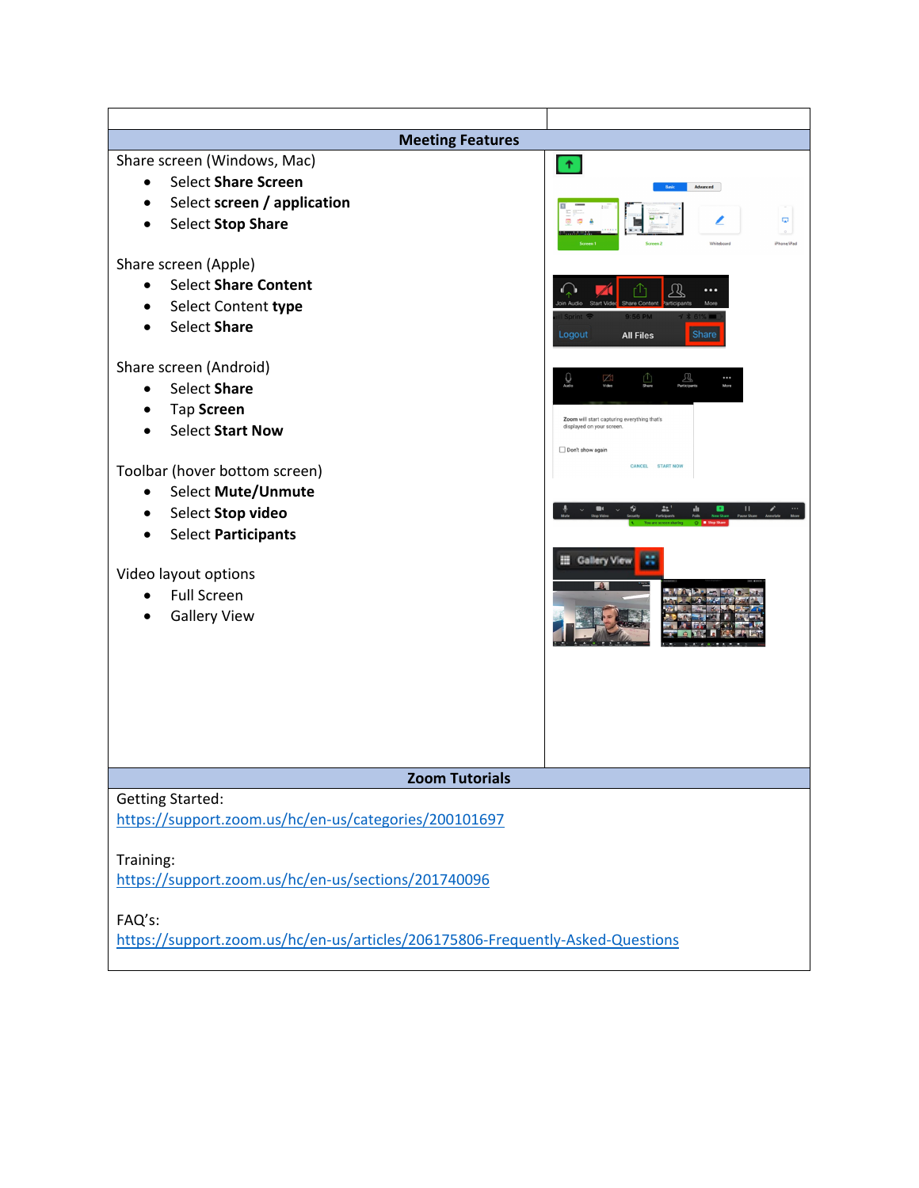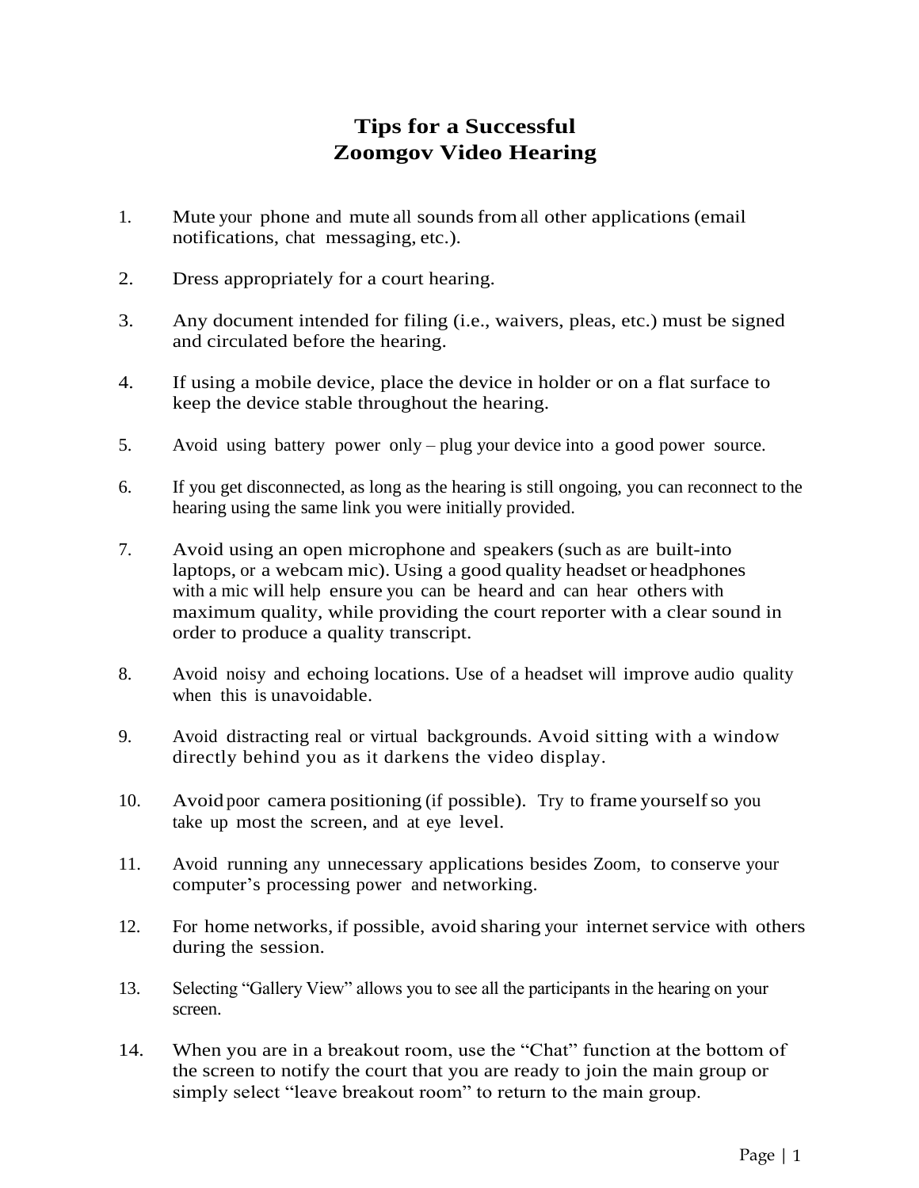## **Tips for a Successful Zoomgov Video Hearing**

- 1. Mute your phone and mute all soundsfrom all other applications (email notifications, chat messaging, etc.).
- 2. Dress appropriately for a court hearing.
- 3. Any document intended for filing (i.e., waivers, pleas, etc.) must be signed and circulated before the hearing.
- 4. If using a mobile device, place the device in holder or on a flat surface to keep the device stable throughout the hearing.
- 5. Avoid using battery power only plug your device into a good power source.
- 6. If you get disconnected, as long as the hearing is still ongoing, you can reconnect to the hearing using the same link you were initially provided.
- 7. Avoid using an open microphone and speakers (such as are built-into laptops, or a webcam mic). Using a good quality headset or headphones with a mic will help ensure you can be heard and can hear others with maximum quality, while providing the court reporter with a clear sound in order to produce a quality transcript.
- 8. Avoid noisy and echoing locations. Use of a headset will improve audio quality when this is unavoidable.
- 9. Avoid distracting real or virtual backgrounds. Avoid sitting with a window directly behind you as it darkens the video display.
- 10. Avoid poor camera positioning (if possible). Try to frame yourselfso you take up most the screen, and at eye level.
- 11. Avoid running any unnecessary applications besides Zoom, to conserve your computer's processing power and networking.
- 12. For home networks, if possible, avoid sharing your internet service with others during the session.
- 13. Selecting "Gallery View" allows you to see all the participants in the hearing on your screen.
- 14. When you are in a breakout room, use the "Chat" function at the bottom of the screen to notify the court that you are ready to join the main group or simply select "leave breakout room" to return to the main group.